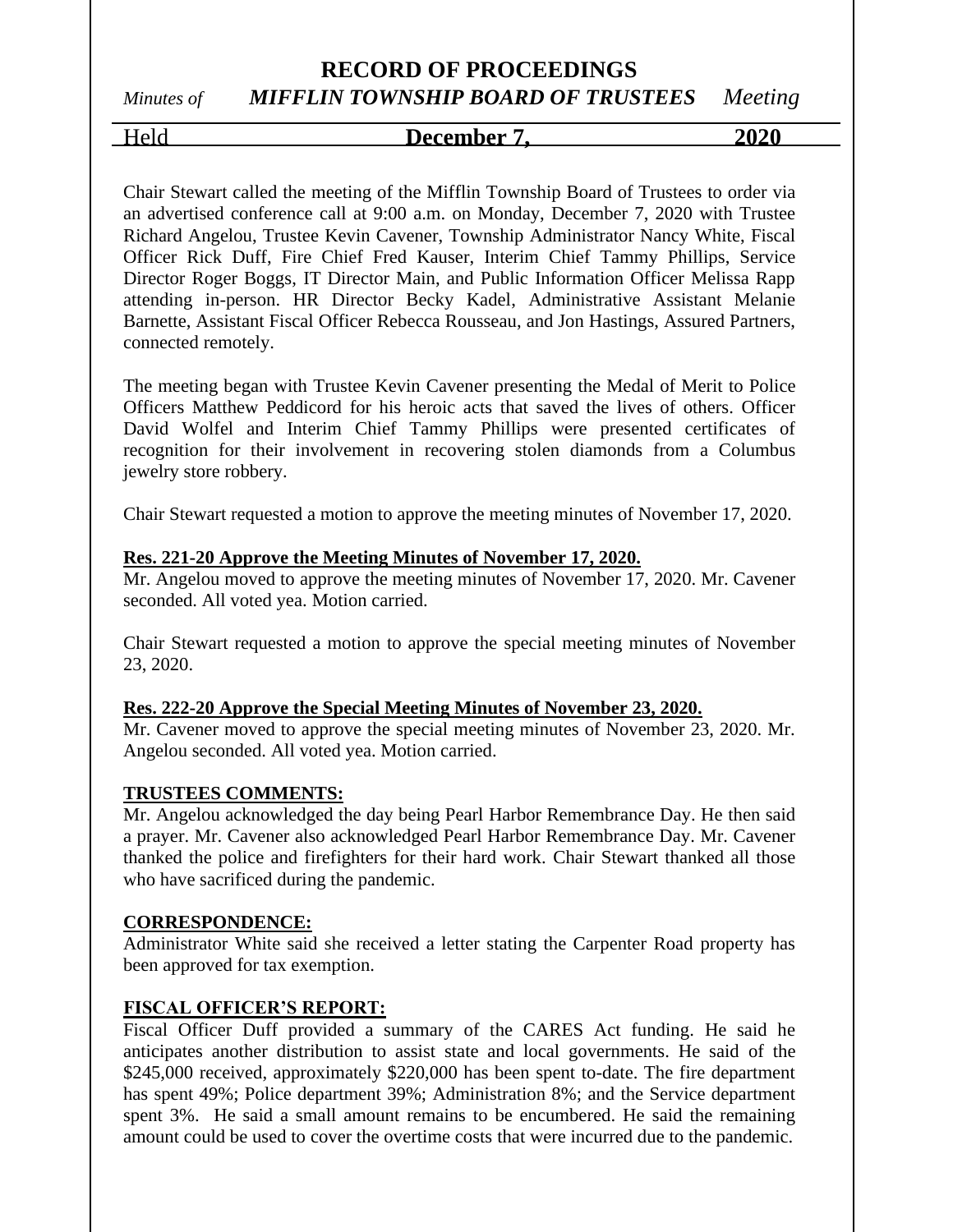# Held **December 7, 2020**

Chair Stewart called the meeting of the Mifflin Township Board of Trustees to order via an advertised conference call at 9:00 a.m. on Monday, December 7, 2020 with Trustee Richard Angelou, Trustee Kevin Cavener, Township Administrator Nancy White, Fiscal Officer Rick Duff, Fire Chief Fred Kauser, Interim Chief Tammy Phillips, Service Director Roger Boggs, IT Director Main, and Public Information Officer Melissa Rapp attending in-person. HR Director Becky Kadel, Administrative Assistant Melanie Barnette, Assistant Fiscal Officer Rebecca Rousseau, and Jon Hastings, Assured Partners, connected remotely.

The meeting began with Trustee Kevin Cavener presenting the Medal of Merit to Police Officers Matthew Peddicord for his heroic acts that saved the lives of others. Officer David Wolfel and Interim Chief Tammy Phillips were presented certificates of recognition for their involvement in recovering stolen diamonds from a Columbus jewelry store robbery.

Chair Stewart requested a motion to approve the meeting minutes of November 17, 2020.

#### **Res. 221-20 Approve the Meeting Minutes of November 17, 2020.**

Mr. Angelou moved to approve the meeting minutes of November 17, 2020. Mr. Cavener seconded. All voted yea. Motion carried.

Chair Stewart requested a motion to approve the special meeting minutes of November 23, 2020.

#### **Res. 222-20 Approve the Special Meeting Minutes of November 23, 2020.**

Mr. Cavener moved to approve the special meeting minutes of November 23, 2020. Mr. Angelou seconded. All voted yea. Motion carried.

#### **TRUSTEES COMMENTS:**

Mr. Angelou acknowledged the day being Pearl Harbor Remembrance Day. He then said a prayer. Mr. Cavener also acknowledged Pearl Harbor Remembrance Day. Mr. Cavener thanked the police and firefighters for their hard work. Chair Stewart thanked all those who have sacrificed during the pandemic.

#### **CORRESPONDENCE:**

Administrator White said she received a letter stating the Carpenter Road property has been approved for tax exemption.

#### **FISCAL OFFICER'S REPORT:**

Fiscal Officer Duff provided a summary of the CARES Act funding. He said he anticipates another distribution to assist state and local governments. He said of the \$245,000 received, approximately \$220,000 has been spent to-date. The fire department has spent 49%; Police department 39%; Administration 8%; and the Service department spent 3%. He said a small amount remains to be encumbered. He said the remaining amount could be used to cover the overtime costs that were incurred due to the pandemic.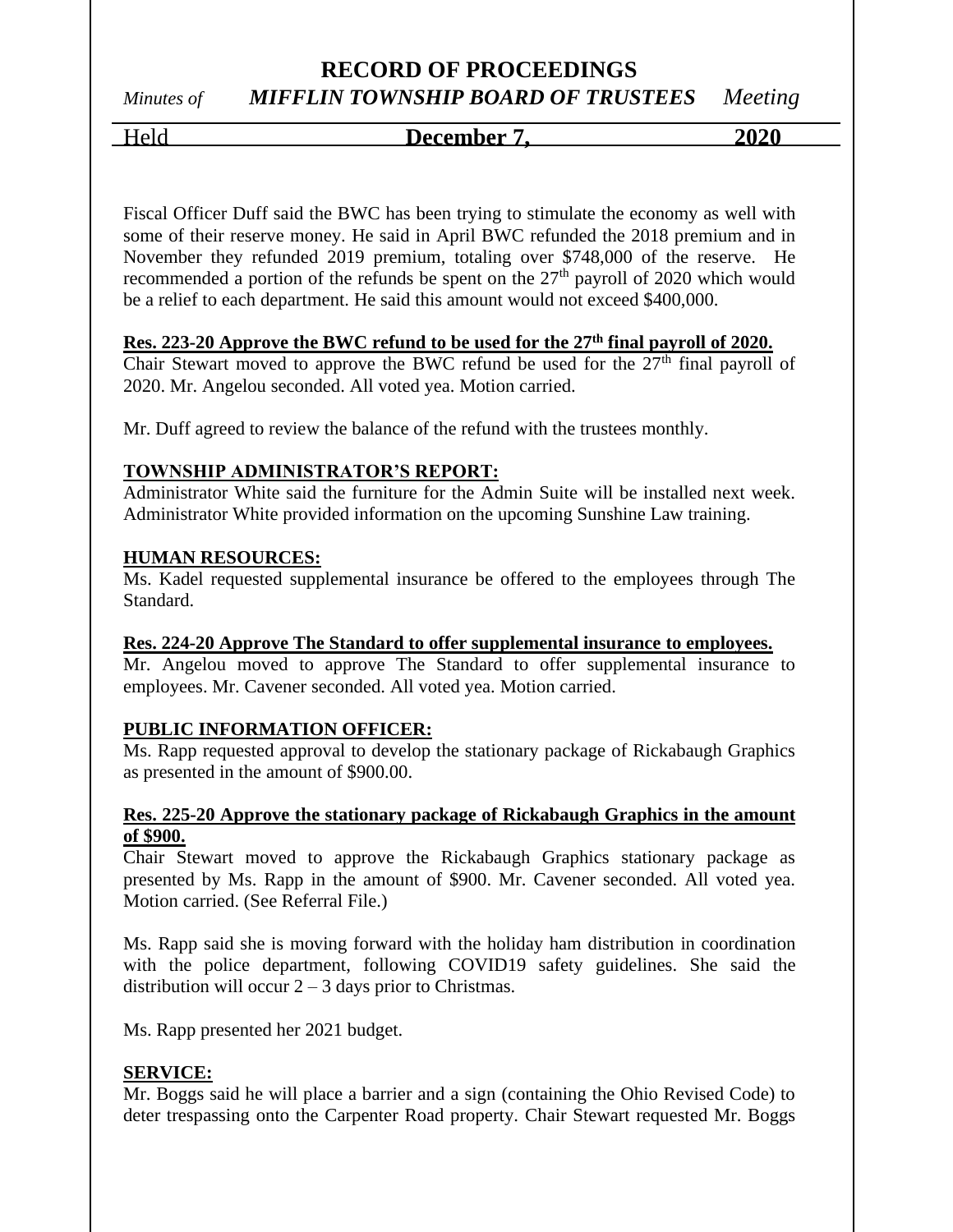# Held **December 7, 2020**

Fiscal Officer Duff said the BWC has been trying to stimulate the economy as well with some of their reserve money. He said in April BWC refunded the 2018 premium and in November they refunded 2019 premium, totaling over \$748,000 of the reserve. He recommended a portion of the refunds be spent on the 27<sup>th</sup> payroll of 2020 which would be a relief to each department. He said this amount would not exceed \$400,000.

#### **Res. 223-20 Approve the BWC refund to be used for the 27th final payroll of 2020.**

Chair Stewart moved to approve the BWC refund be used for the  $27<sup>th</sup>$  final payroll of 2020. Mr. Angelou seconded. All voted yea. Motion carried.

Mr. Duff agreed to review the balance of the refund with the trustees monthly.

#### **TOWNSHIP ADMINISTRATOR'S REPORT:**

Administrator White said the furniture for the Admin Suite will be installed next week. Administrator White provided information on the upcoming Sunshine Law training.

#### **HUMAN RESOURCES:**

Ms. Kadel requested supplemental insurance be offered to the employees through The Standard.

#### **Res. 224-20 Approve The Standard to offer supplemental insurance to employees.**

Mr. Angelou moved to approve The Standard to offer supplemental insurance to employees. Mr. Cavener seconded. All voted yea. Motion carried.

#### **PUBLIC INFORMATION OFFICER:**

Ms. Rapp requested approval to develop the stationary package of Rickabaugh Graphics as presented in the amount of \$900.00.

#### **Res. 225-20 Approve the stationary package of Rickabaugh Graphics in the amount of \$900.**

Chair Stewart moved to approve the Rickabaugh Graphics stationary package as presented by Ms. Rapp in the amount of \$900. Mr. Cavener seconded. All voted yea. Motion carried. (See Referral File.)

Ms. Rapp said she is moving forward with the holiday ham distribution in coordination with the police department, following COVID19 safety guidelines. She said the distribution will occur  $2 - 3$  days prior to Christmas.

Ms. Rapp presented her 2021 budget.

#### **SERVICE:**

Mr. Boggs said he will place a barrier and a sign (containing the Ohio Revised Code) to deter trespassing onto the Carpenter Road property. Chair Stewart requested Mr. Boggs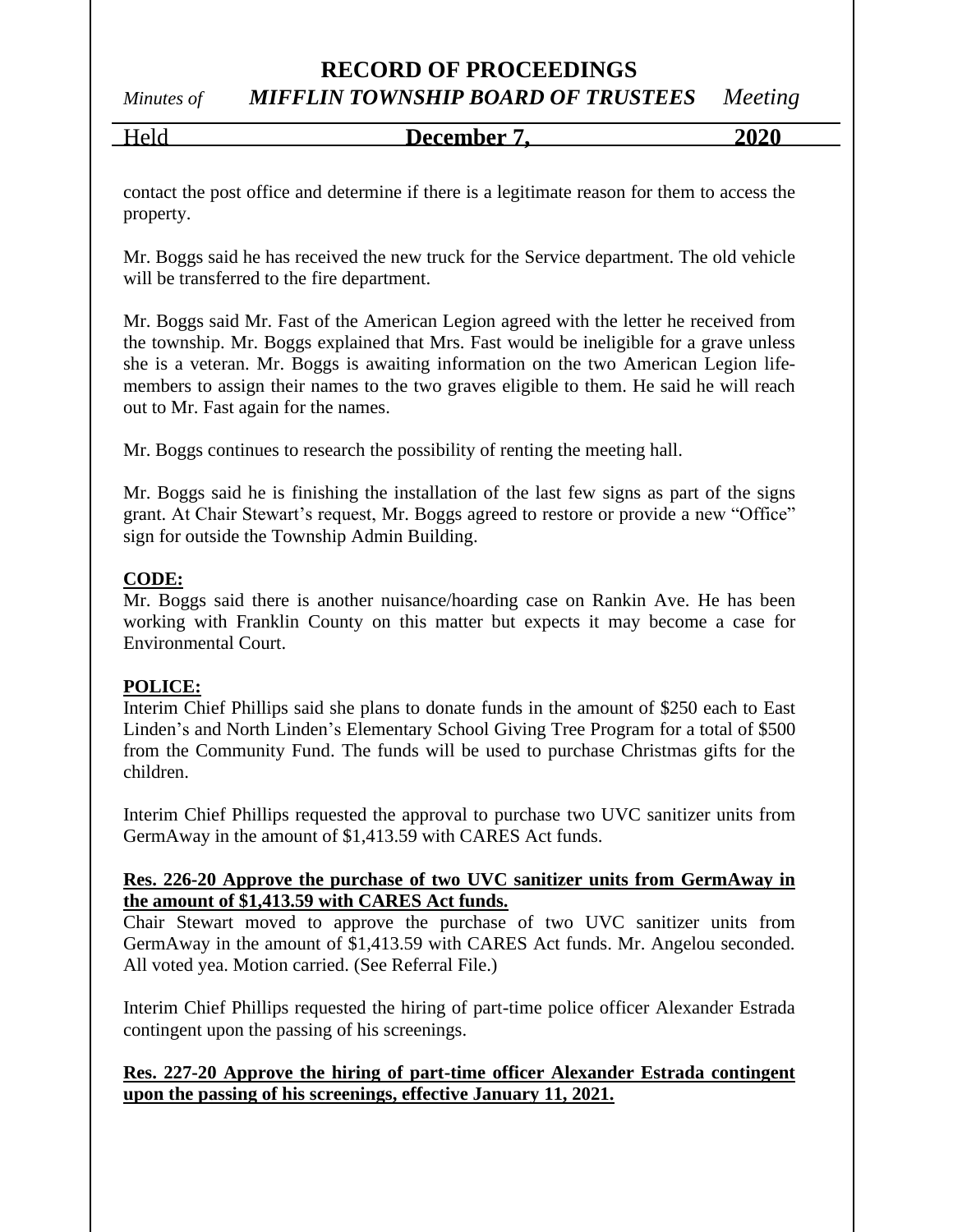### **RECORD OF PROCEEDINGS**

*Minutes of MIFFLIN TOWNSHIP BOARD OF TRUSTEES Meeting*

Held **December 7, 2020**

contact the post office and determine if there is a legitimate reason for them to access the property.

Mr. Boggs said he has received the new truck for the Service department. The old vehicle will be transferred to the fire department.

Mr. Boggs said Mr. Fast of the American Legion agreed with the letter he received from the township. Mr. Boggs explained that Mrs. Fast would be ineligible for a grave unless she is a veteran. Mr. Boggs is awaiting information on the two American Legion lifemembers to assign their names to the two graves eligible to them. He said he will reach out to Mr. Fast again for the names.

Mr. Boggs continues to research the possibility of renting the meeting hall.

Mr. Boggs said he is finishing the installation of the last few signs as part of the signs grant. At Chair Stewart's request, Mr. Boggs agreed to restore or provide a new "Office" sign for outside the Township Admin Building.

#### **CODE:**

Mr. Boggs said there is another nuisance/hoarding case on Rankin Ave. He has been working with Franklin County on this matter but expects it may become a case for Environmental Court.

#### **POLICE:**

Interim Chief Phillips said she plans to donate funds in the amount of \$250 each to East Linden's and North Linden's Elementary School Giving Tree Program for a total of \$500 from the Community Fund. The funds will be used to purchase Christmas gifts for the children.

Interim Chief Phillips requested the approval to purchase two UVC sanitizer units from GermAway in the amount of \$1,413.59 with CARES Act funds.

#### **Res. 226-20 Approve the purchase of two UVC sanitizer units from GermAway in the amount of \$1,413.59 with CARES Act funds.**

Chair Stewart moved to approve the purchase of two UVC sanitizer units from GermAway in the amount of \$1,413.59 with CARES Act funds. Mr. Angelou seconded. All voted yea. Motion carried. (See Referral File.)

Interim Chief Phillips requested the hiring of part-time police officer Alexander Estrada contingent upon the passing of his screenings.

#### **Res. 227-20 Approve the hiring of part-time officer Alexander Estrada contingent upon the passing of his screenings, effective January 11, 2021.**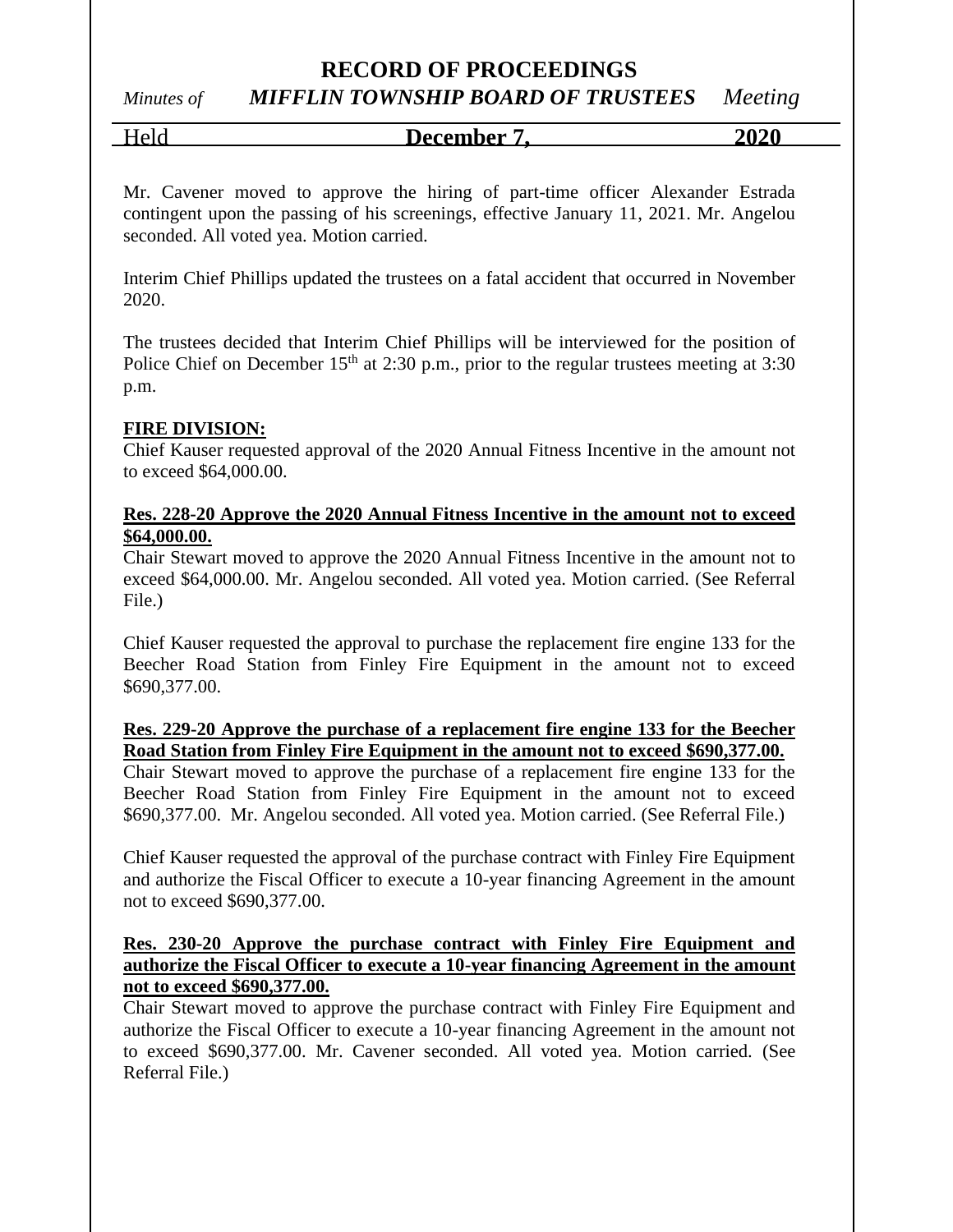### **RECORD OF PROCEEDINGS**

# *Minutes of MIFFLIN TOWNSHIP BOARD OF TRUSTEES Meeting*

Held **December 7, 2020**

Mr. Cavener moved to approve the hiring of part-time officer Alexander Estrada contingent upon the passing of his screenings, effective January 11, 2021. Mr. Angelou seconded. All voted yea. Motion carried.

Interim Chief Phillips updated the trustees on a fatal accident that occurred in November 2020.

The trustees decided that Interim Chief Phillips will be interviewed for the position of Police Chief on December 15<sup>th</sup> at 2:30 p.m., prior to the regular trustees meeting at 3:30 p.m.

#### **FIRE DIVISION:**

Chief Kauser requested approval of the 2020 Annual Fitness Incentive in the amount not to exceed \$64,000.00.

#### **Res. 228-20 Approve the 2020 Annual Fitness Incentive in the amount not to exceed \$64,000.00.**

Chair Stewart moved to approve the 2020 Annual Fitness Incentive in the amount not to exceed \$64,000.00. Mr. Angelou seconded. All voted yea. Motion carried. (See Referral File.)

Chief Kauser requested the approval to purchase the replacement fire engine 133 for the Beecher Road Station from Finley Fire Equipment in the amount not to exceed \$690,377.00.

#### **Res. 229-20 Approve the purchase of a replacement fire engine 133 for the Beecher Road Station from Finley Fire Equipment in the amount not to exceed \$690,377.00.**

Chair Stewart moved to approve the purchase of a replacement fire engine 133 for the Beecher Road Station from Finley Fire Equipment in the amount not to exceed \$690,377.00. Mr. Angelou seconded. All voted yea. Motion carried. (See Referral File.)

Chief Kauser requested the approval of the purchase contract with Finley Fire Equipment and authorize the Fiscal Officer to execute a 10-year financing Agreement in the amount not to exceed \$690,377.00.

#### **Res. 230-20 Approve the purchase contract with Finley Fire Equipment and authorize the Fiscal Officer to execute a 10-year financing Agreement in the amount not to exceed \$690,377.00.**

Chair Stewart moved to approve the purchase contract with Finley Fire Equipment and authorize the Fiscal Officer to execute a 10-year financing Agreement in the amount not to exceed \$690,377.00. Mr. Cavener seconded. All voted yea. Motion carried. (See Referral File.)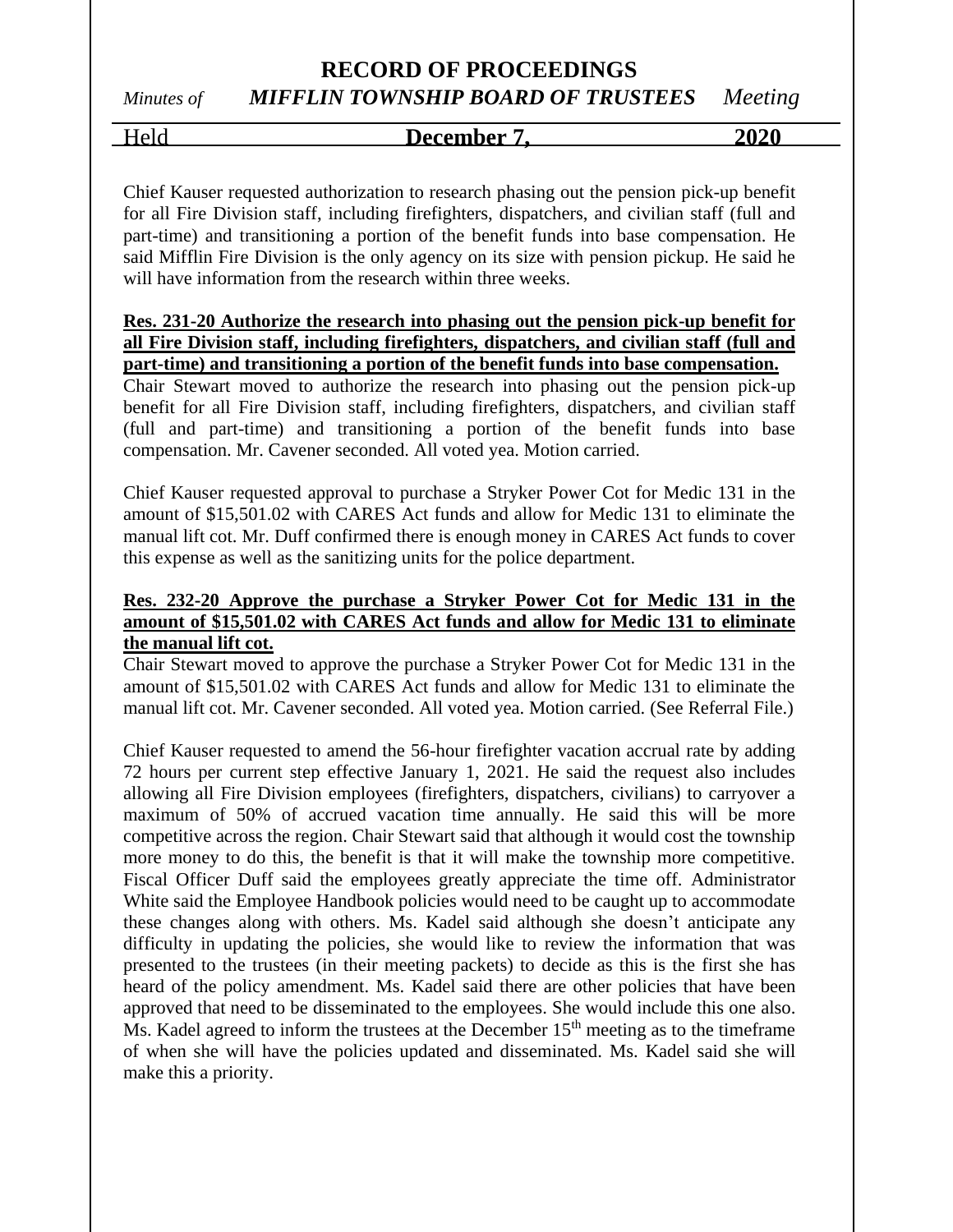Held **December 7, 2020**

Chief Kauser requested authorization to research phasing out the pension pick-up benefit for all Fire Division staff, including firefighters, dispatchers, and civilian staff (full and part-time) and transitioning a portion of the benefit funds into base compensation. He said Mifflin Fire Division is the only agency on its size with pension pickup. He said he will have information from the research within three weeks.

#### **Res. 231-20 Authorize the research into phasing out the pension pick-up benefit for all Fire Division staff, including firefighters, dispatchers, and civilian staff (full and part-time) and transitioning a portion of the benefit funds into base compensation.**

Chair Stewart moved to authorize the research into phasing out the pension pick-up benefit for all Fire Division staff, including firefighters, dispatchers, and civilian staff (full and part-time) and transitioning a portion of the benefit funds into base compensation. Mr. Cavener seconded. All voted yea. Motion carried.

Chief Kauser requested approval to purchase a Stryker Power Cot for Medic 131 in the amount of \$15,501.02 with CARES Act funds and allow for Medic 131 to eliminate the manual lift cot. Mr. Duff confirmed there is enough money in CARES Act funds to cover this expense as well as the sanitizing units for the police department.

#### **Res. 232-20 Approve the purchase a Stryker Power Cot for Medic 131 in the amount of \$15,501.02 with CARES Act funds and allow for Medic 131 to eliminate the manual lift cot.**

Chair Stewart moved to approve the purchase a Stryker Power Cot for Medic 131 in the amount of \$15,501.02 with CARES Act funds and allow for Medic 131 to eliminate the manual lift cot. Mr. Cavener seconded. All voted yea. Motion carried. (See Referral File.)

Chief Kauser requested to amend the 56-hour firefighter vacation accrual rate by adding 72 hours per current step effective January 1, 2021. He said the request also includes allowing all Fire Division employees (firefighters, dispatchers, civilians) to carryover a maximum of 50% of accrued vacation time annually. He said this will be more competitive across the region. Chair Stewart said that although it would cost the township more money to do this, the benefit is that it will make the township more competitive. Fiscal Officer Duff said the employees greatly appreciate the time off. Administrator White said the Employee Handbook policies would need to be caught up to accommodate these changes along with others. Ms. Kadel said although she doesn't anticipate any difficulty in updating the policies, she would like to review the information that was presented to the trustees (in their meeting packets) to decide as this is the first she has heard of the policy amendment. Ms. Kadel said there are other policies that have been approved that need to be disseminated to the employees. She would include this one also. Ms. Kadel agreed to inform the trustees at the December  $15<sup>th</sup>$  meeting as to the timeframe of when she will have the policies updated and disseminated. Ms. Kadel said she will make this a priority.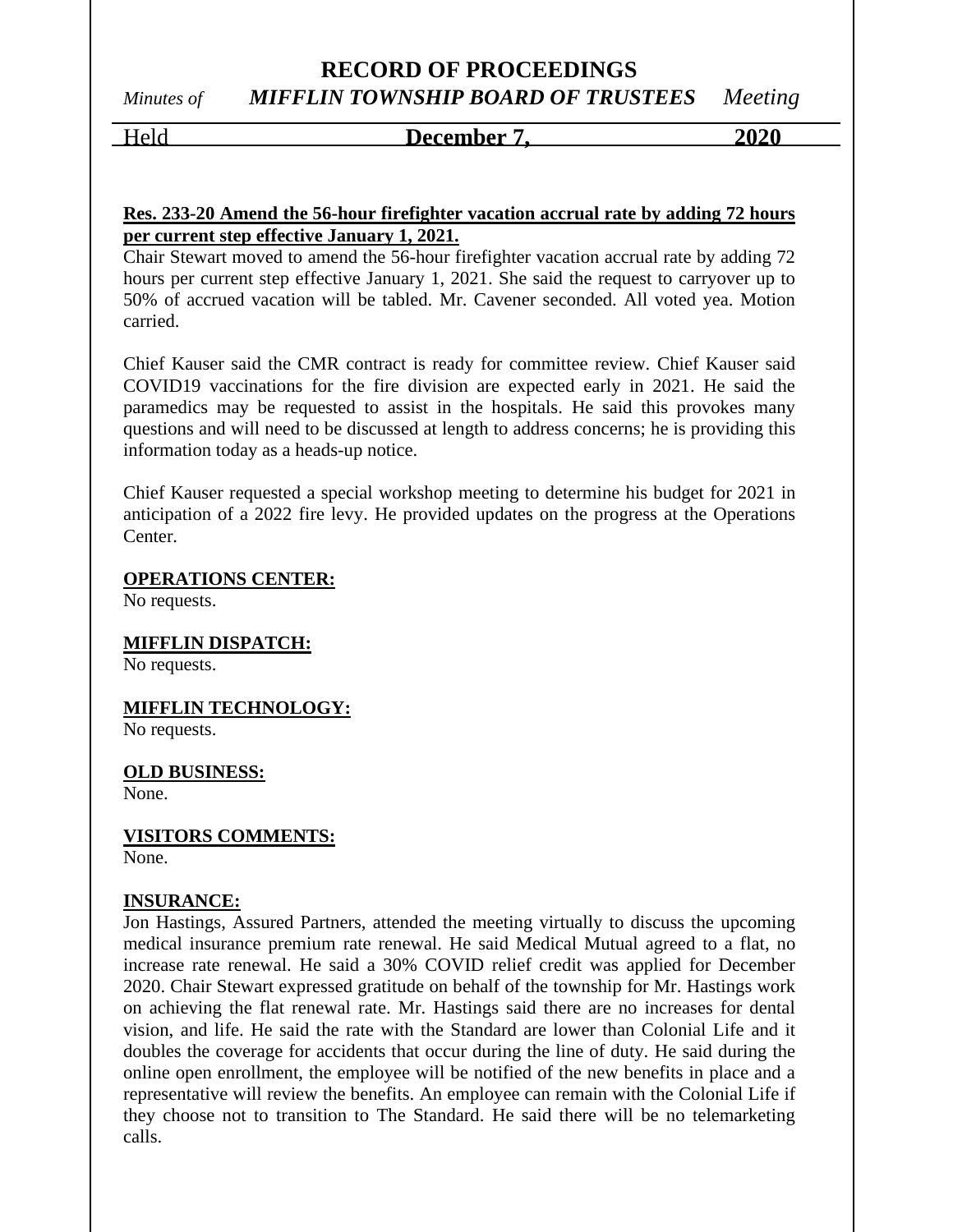#### Held **December 7, 2020**

#### **Res. 233-20 Amend the 56-hour firefighter vacation accrual rate by adding 72 hours per current step effective January 1, 2021.**

Chair Stewart moved to amend the 56-hour firefighter vacation accrual rate by adding 72 hours per current step effective January 1, 2021. She said the request to carryover up to 50% of accrued vacation will be tabled. Mr. Cavener seconded. All voted yea. Motion carried.

Chief Kauser said the CMR contract is ready for committee review. Chief Kauser said COVID19 vaccinations for the fire division are expected early in 2021. He said the paramedics may be requested to assist in the hospitals. He said this provokes many questions and will need to be discussed at length to address concerns; he is providing this information today as a heads-up notice.

Chief Kauser requested a special workshop meeting to determine his budget for 2021 in anticipation of a 2022 fire levy. He provided updates on the progress at the Operations Center.

**OPERATIONS CENTER:**

No requests.

**MIFFLIN DISPATCH:**

No requests.

**MIFFLIN TECHNOLOGY:**

No requests.

**OLD BUSINESS:**

None.

**VISITORS COMMENTS:**

None.

#### **INSURANCE:**

Jon Hastings, Assured Partners, attended the meeting virtually to discuss the upcoming medical insurance premium rate renewal. He said Medical Mutual agreed to a flat, no increase rate renewal. He said a 30% COVID relief credit was applied for December 2020. Chair Stewart expressed gratitude on behalf of the township for Mr. Hastings work on achieving the flat renewal rate. Mr. Hastings said there are no increases for dental vision, and life. He said the rate with the Standard are lower than Colonial Life and it doubles the coverage for accidents that occur during the line of duty. He said during the online open enrollment, the employee will be notified of the new benefits in place and a representative will review the benefits. An employee can remain with the Colonial Life if they choose not to transition to The Standard. He said there will be no telemarketing calls.